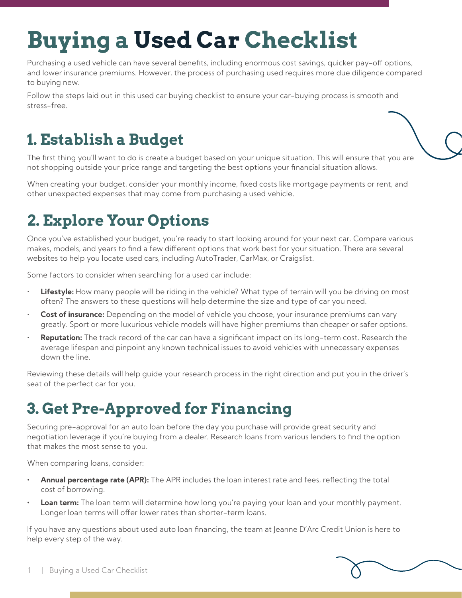# **Buying a Used Car Checklist**

Purchasing a used vehicle can have several benefits, including enormous cost savings, quicker pay-off options, and lower insurance premiums. However, the process of purchasing used requires more due diligence compared to buying new.

Follow the steps laid out in this used car buying checklist to ensure your car-buying process is smooth and stress-free.

# **1. Establish a Budget**

The first thing you'll want to do is create a budget based on your unique situation. This will ensure that you are not shopping outside your price range and targeting the best options your financial situation allows.

When creating your budget, consider your monthly income, fixed costs like mortgage payments or rent, and other unexpected expenses that may come from purchasing a used vehicle.

# **2. Explore Your Options**

Once you've established your budget, you're ready to start looking around for your next car. Compare various makes, models, and years to find a few different options that work best for your situation. There are several websites to help you locate used cars, including AutoTrader, CarMax, or Craigslist.

Some factors to consider when searching for a used car include:

- **Lifestyle:** How many people will be riding in the vehicle? What type of terrain will you be driving on most often? The answers to these questions will help determine the size and type of car you need.
- **Cost of insurance:** Depending on the model of vehicle you choose, your insurance premiums can vary greatly. Sport or more luxurious vehicle models will have higher premiums than cheaper or safer options.
- **Reputation:** The track record of the car can have a significant impact on its long-term cost. Research the average lifespan and pinpoint any known technical issues to avoid vehicles with unnecessary expenses down the line.

Reviewing these details will help guide your research process in the right direction and put you in the driver's seat of the perfect car for you.

#### **3. Get Pre-Approved for Financing**

Securing pre-approval for an auto loan before the day you purchase will provide great security and negotiation leverage if you're buying from a dealer. Research loans from various lenders to find the option that makes the most sense to you.

When comparing loans, consider:

- **• Annual percentage rate (APR):** The APR includes the loan interest rate and fees, reflecting the total cost of borrowing.
- **Loan term:** The loan term will determine how long you're paying your loan and your monthly payment. Longer loan terms will offer lower rates than shorter-term loans.

If you have any questions about used auto loan financing, the team at Jeanne D'Arc Credit Union is here to help every step of the way.